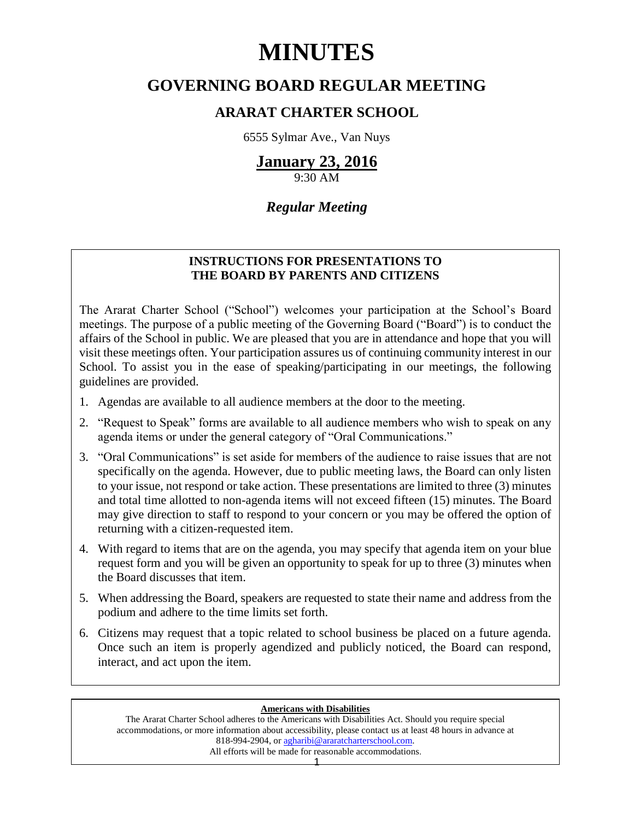# **MINUTES**

# **GOVERNING BOARD REGULAR MEETING**

# **ARARAT CHARTER SCHOOL**

6555 Sylmar Ave., Van Nuys

# **January 23, 2016**

9:30 AM

# *Regular Meeting*

# **INSTRUCTIONS FOR PRESENTATIONS TO THE BOARD BY PARENTS AND CITIZENS**

The Ararat Charter School ("School") welcomes your participation at the School's Board meetings. The purpose of a public meeting of the Governing Board ("Board") is to conduct the affairs of the School in public. We are pleased that you are in attendance and hope that you will visit these meetings often. Your participation assures us of continuing community interest in our School. To assist you in the ease of speaking/participating in our meetings, the following guidelines are provided.

- 1. Agendas are available to all audience members at the door to the meeting.
- 2. "Request to Speak" forms are available to all audience members who wish to speak on any agenda items or under the general category of "Oral Communications."
- 3. "Oral Communications" is set aside for members of the audience to raise issues that are not specifically on the agenda. However, due to public meeting laws, the Board can only listen to your issue, not respond or take action. These presentations are limited to three (3) minutes and total time allotted to non-agenda items will not exceed fifteen (15) minutes. The Board may give direction to staff to respond to your concern or you may be offered the option of returning with a citizen-requested item.
- 4. With regard to items that are on the agenda, you may specify that agenda item on your blue request form and you will be given an opportunity to speak for up to three (3) minutes when the Board discusses that item.
- 5. When addressing the Board, speakers are requested to state their name and address from the podium and adhere to the time limits set forth.
- 6. Citizens may request that a topic related to school business be placed on a future agenda. Once such an item is properly agendized and publicly noticed, the Board can respond, interact, and act upon the item.

# **Americans with Disabilities**

The Ararat Charter School adheres to the Americans with Disabilities Act. Should you require special accommodations, or more information about accessibility, please contact us at least 48 hours in advance at 818-994-2904, or [agharibi@araratcharterschool.com.](mailto:agharibi@araratcharterschool.com)  All efforts will be made for reasonable accommodations.

1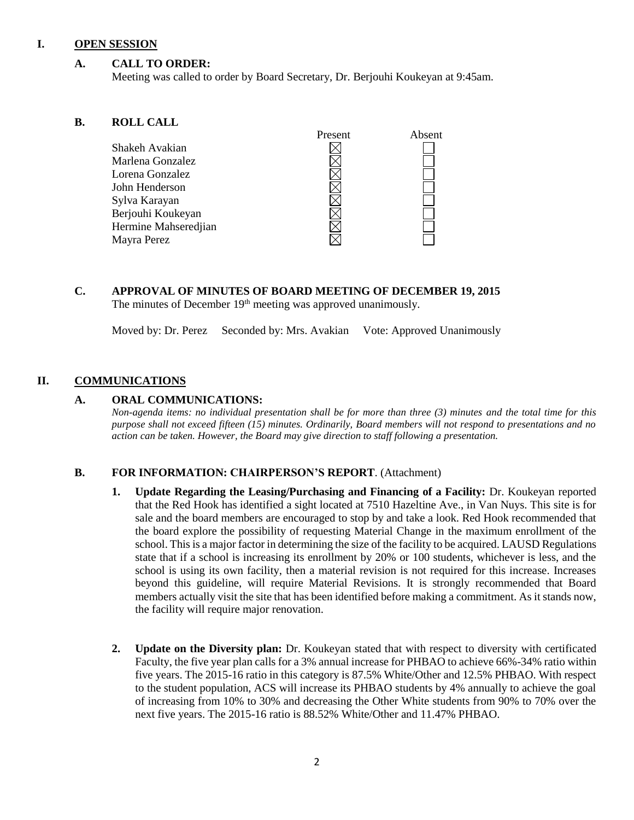# **I. OPEN SESSION**

# **A. CALL TO ORDER:**

Meeting was called to order by Board Secretary, Dr. Berjouhi Koukeyan at 9:45am.

#### **B. ROLL CALL**

| Present | Absent |
|---------|--------|
|         |        |
|         |        |
|         |        |
|         |        |
|         |        |
|         |        |
|         |        |
|         |        |
|         |        |

# **C. APPROVAL OF MINUTES OF BOARD MEETING OF DECEMBER 19, 2015** The minutes of December 19<sup>th</sup> meeting was approved unanimously.

Moved by: Dr. Perez Seconded by: Mrs. Avakian Vote: Approved Unanimously

# **II. COMMUNICATIONS**

# **A. ORAL COMMUNICATIONS:**

*Non-agenda items: no individual presentation shall be for more than three (3) minutes and the total time for this purpose shall not exceed fifteen (15) minutes. Ordinarily, Board members will not respond to presentations and no action can be taken. However, the Board may give direction to staff following a presentation.*

# **B. FOR INFORMATION: CHAIRPERSON'S REPORT**. (Attachment)

- **1. Update Regarding the Leasing/Purchasing and Financing of a Facility:** Dr. Koukeyan reported that the Red Hook has identified a sight located at 7510 Hazeltine Ave., in Van Nuys. This site is for sale and the board members are encouraged to stop by and take a look. Red Hook recommended that the board explore the possibility of requesting Material Change in the maximum enrollment of the school. This is a major factor in determining the size of the facility to be acquired. LAUSD Regulations state that if a school is increasing its enrollment by 20% or 100 students, whichever is less, and the school is using its own facility, then a material revision is not required for this increase. Increases beyond this guideline, will require Material Revisions. It is strongly recommended that Board members actually visit the site that has been identified before making a commitment. As it stands now, the facility will require major renovation.
- **2. Update on the Diversity plan:** Dr. Koukeyan stated that with respect to diversity with certificated Faculty, the five year plan calls for a 3% annual increase for PHBAO to achieve 66%-34% ratio within five years. The 2015-16 ratio in this category is 87.5% White/Other and 12.5% PHBAO. With respect to the student population, ACS will increase its PHBAO students by 4% annually to achieve the goal of increasing from 10% to 30% and decreasing the Other White students from 90% to 70% over the next five years. The 2015-16 ratio is 88.52% White/Other and 11.47% PHBAO.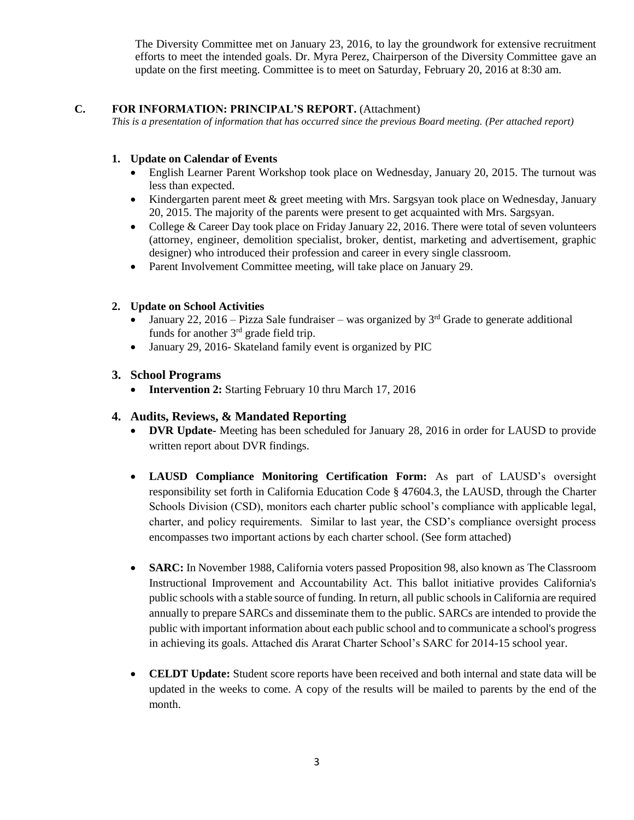The Diversity Committee met on January 23, 2016, to lay the groundwork for extensive recruitment efforts to meet the intended goals. Dr. Myra Perez, Chairperson of the Diversity Committee gave an update on the first meeting. Committee is to meet on Saturday, February 20, 2016 at 8:30 am.

# **C. FOR INFORMATION: PRINCIPAL'S REPORT.** (Attachment)

*This is a presentation of information that has occurred since the previous Board meeting. (Per attached report)*

# **1. Update on Calendar of Events**

- English Learner Parent Workshop took place on Wednesday, January 20, 2015. The turnout was less than expected.
- Kindergarten parent meet & greet meeting with Mrs. Sargsyan took place on Wednesday, January 20, 2015. The majority of the parents were present to get acquainted with Mrs. Sargsyan.
- College & Career Day took place on Friday January 22, 2016. There were total of seven volunteers (attorney, engineer, demolition specialist, broker, dentist, marketing and advertisement, graphic designer) who introduced their profession and career in every single classroom.
- Parent Involvement Committee meeting, will take place on January 29.

# **2. Update on School Activities**

- January 22, 2016 Pizza Sale fundraiser was organized by  $3<sup>rd</sup>$  Grade to generate additional funds for another 3rd grade field trip.
- January 29, 2016- Skateland family event is organized by PIC

# **3. School Programs**

• **Intervention 2:** Starting February 10 thru March 17, 2016

# **4. Audits, Reviews, & Mandated Reporting**

- **DVR Update-** Meeting has been scheduled for January 28, 2016 in order for LAUSD to provide written report about DVR findings.
- **LAUSD Compliance Monitoring Certification Form:** As part of LAUSD's oversight responsibility set forth in California Education Code § 47604.3, the LAUSD, through the Charter Schools Division (CSD), monitors each charter public school's compliance with applicable legal, charter, and policy requirements. Similar to last year, the CSD's compliance oversight process encompasses two important actions by each charter school. (See form attached)
- **SARC:** In November 1988, California voters passed [Proposition 98,](http://www.cde.ca.gov/ta/ac/sa/prop98.asp) also known as The Classroom Instructional Improvement and Accountability Act. This ballot initiative provides California's public schools with a stable source of funding. In return, all public schools in California are required annually to prepare SARCs and disseminate them to the public. SARCs are intended to provide the public with important information about each public school and to communicate a school's progress in achieving its goals. Attached dis Ararat Charter School's SARC for 2014-15 school year.
- **CELDT Update:** Student score reports have been received and both internal and state data will be updated in the weeks to come. A copy of the results will be mailed to parents by the end of the month.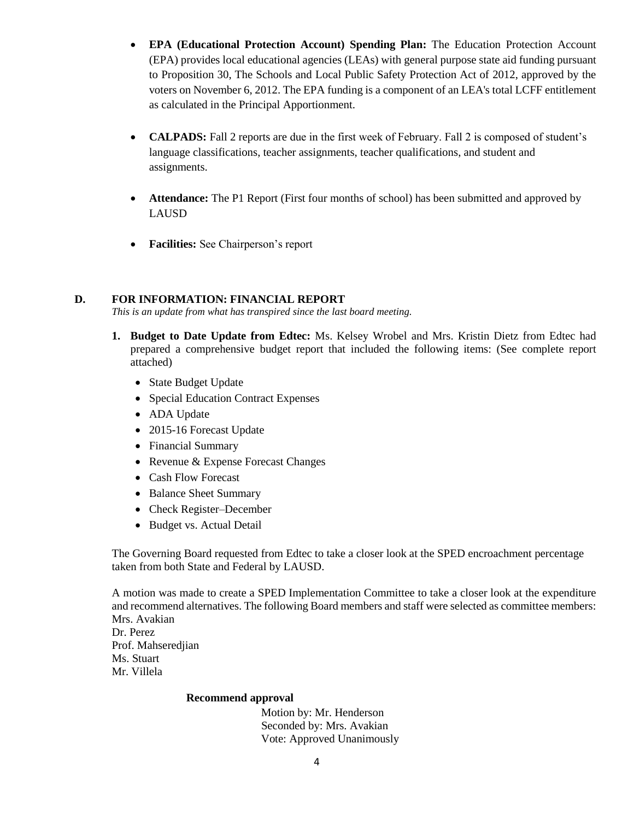- **EPA (Educational Protection Account) Spending Plan:** The Education Protection Account (EPA) provides local educational agencies (LEAs) with general purpose state aid funding pursuant to Proposition 30, The Schools and Local Public Safety Protection Act of 2012, approved by the voters on November 6, 2012. The EPA funding is a component of an LEA's total LCFF entitlement as calculated in the Principal Apportionment.
- **CALPADS:** Fall 2 reports are due in the first week of February. Fall 2 is composed of student's language classifications, teacher assignments, teacher qualifications, and student and assignments.
- **Attendance:** The P1 Report (First four months of school) has been submitted and approved by LAUSD
- **Facilities:** See Chairperson's report

# **D. FOR INFORMATION: FINANCIAL REPORT**

*This is an update from what has transpired since the last board meeting.*

- **1. Budget to Date Update from Edtec:** Ms. Kelsey Wrobel and Mrs. Kristin Dietz from Edtec had prepared a comprehensive budget report that included the following items: (See complete report attached)
	- State Budget Update
	- Special Education Contract Expenses
	- ADA Update
	- 2015-16 Forecast Update
	- Financial Summary
	- Revenue & Expense Forecast Changes
	- Cash Flow Forecast
	- Balance Sheet Summary
	- Check Register–December
	- Budget vs. Actual Detail

The Governing Board requested from Edtec to take a closer look at the SPED encroachment percentage taken from both State and Federal by LAUSD.

A motion was made to create a SPED Implementation Committee to take a closer look at the expenditure and recommend alternatives. The following Board members and staff were selected as committee members: Mrs. Avakian Dr. Perez

Prof. Mahseredjian Ms. Stuart Mr. Villela

# **Recommend approval**

 Motion by: Mr. Henderson Seconded by: Mrs. Avakian Vote: Approved Unanimously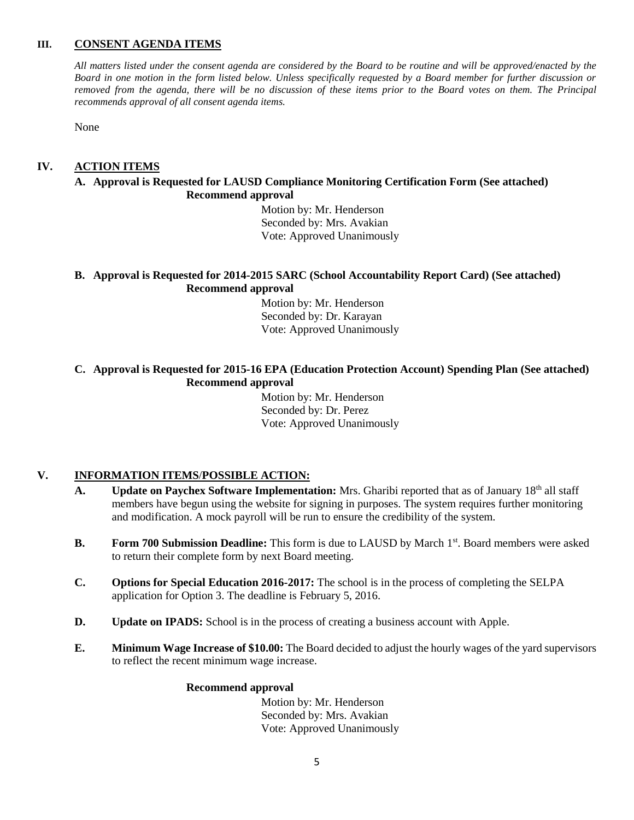# **III. CONSENT AGENDA ITEMS**

*All matters listed under the consent agenda are considered by the Board to be routine and will be approved/enacted by the Board in one motion in the form listed below. Unless specifically requested by a Board member for further discussion or removed from the agenda, there will be no discussion of these items prior to the Board votes on them. The Principal recommends approval of all consent agenda items.*

None

# **IV. ACTION ITEMS**

# **A. Approval is Requested for LAUSD Compliance Monitoring Certification Form (See attached) Recommend approval**

 Motion by: Mr. Henderson Seconded by: Mrs. Avakian Vote: Approved Unanimously

#### **B. Approval is Requested for 2014-2015 SARC (School Accountability Report Card) (See attached) Recommend approval**

 Motion by: Mr. Henderson Seconded by: Dr. Karayan Vote: Approved Unanimously

# **C. Approval is Requested for 2015-16 EPA (Education Protection Account) Spending Plan (See attached) Recommend approval**

 Motion by: Mr. Henderson Seconded by: Dr. Perez Vote: Approved Unanimously

# **V. INFORMATION ITEMS**/**POSSIBLE ACTION:**

- A. **Update on Paychex Software Implementation:** Mrs. Gharibi reported that as of January 18<sup>th</sup> all staff members have begun using the website for signing in purposes. The system requires further monitoring and modification. A mock payroll will be run to ensure the credibility of the system.
- **B.** Form 700 Submission Deadline: This form is due to LAUSD by March 1<sup>st</sup>. Board members were asked to return their complete form by next Board meeting.
- **C. Options for Special Education 2016-2017:** The school is in the process of completing the SELPA application for Option 3. The deadline is February 5, 2016.
- **D. Update on IPADS:** School is in the process of creating a business account with Apple.
- **E. Minimum Wage Increase of \$10.00:** The Board decided to adjust the hourly wages of the yard supervisors to reflect the recent minimum wage increase.

#### **Recommend approval**

 Motion by: Mr. Henderson Seconded by: Mrs. Avakian Vote: Approved Unanimously